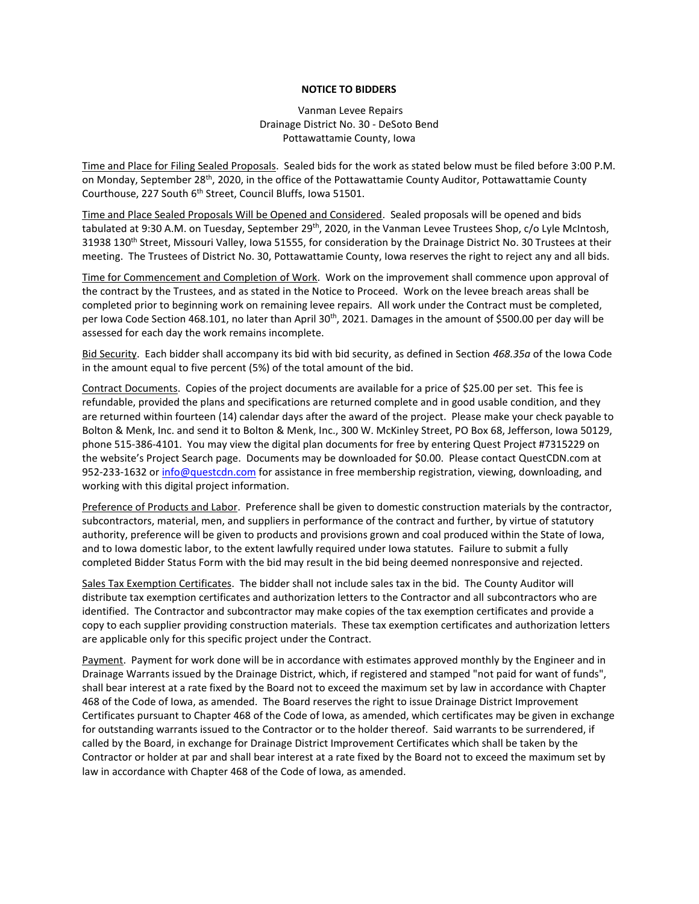## **NOTICE TO BIDDERS**

Vanman Levee Repairs Drainage District No. 30 - DeSoto Bend Pottawattamie County, Iowa

Time and Place for Filing Sealed Proposals. Sealed bids for the work as stated below must be filed before 3:00 P.M. on Monday, September 28<sup>th</sup>, 2020, in the office of the Pottawattamie County Auditor, Pottawattamie County Courthouse, 227 South 6<sup>th</sup> Street, Council Bluffs, Iowa 51501.

Time and Place Sealed Proposals Will be Opened and Considered. Sealed proposals will be opened and bids tabulated at 9:30 A.M. on Tuesday, September 29<sup>th</sup>, 2020, in the Vanman Levee Trustees Shop, c/o Lyle McIntosh, 31938 130<sup>th</sup> Street, Missouri Valley, Iowa 51555, for consideration by the Drainage District No. 30 Trustees at their meeting. The Trustees of District No. 30, Pottawattamie County, Iowa reserves the right to reject any and all bids.

Time for Commencement and Completion of Work. Work on the improvement shall commence upon approval of the contract by the Trustees, and as stated in the Notice to Proceed. Work on the levee breach areas shall be completed prior to beginning work on remaining levee repairs. All work under the Contract must be completed, per Iowa Code Section 468.101, no later than April 30<sup>th</sup>, 2021. Damages in the amount of \$500.00 per day will be assessed for each day the work remains incomplete.

Bid Security. Each bidder shall accompany its bid with bid security, as defined in Section *468.35a* of the Iowa Code in the amount equal to five percent (5%) of the total amount of the bid.

Contract Documents. Copies of the project documents are available for a price of \$25.00 per set. This fee is refundable, provided the plans and specifications are returned complete and in good usable condition, and they are returned within fourteen (14) calendar days after the award of the project. Please make your check payable to Bolton & Menk, Inc. and send it to Bolton & Menk, Inc., 300 W. McKinley Street, PO Box 68, Jefferson, Iowa 50129, phone 515-386-4101. You may view the digital plan documents for free by entering Quest Project #7315229 on the website's Project Search page. Documents may be downloaded for \$0.00. Please contact QuestCDN.com at 952-233-1632 or [info@questcdn.com](mailto:info@questcdn.com) for assistance in free membership registration, viewing, downloading, and working with this digital project information.

Preference of Products and Labor. Preference shall be given to domestic construction materials by the contractor, subcontractors, material, men, and suppliers in performance of the contract and further, by virtue of statutory authority, preference will be given to products and provisions grown and coal produced within the State of Iowa, and to Iowa domestic labor, to the extent lawfully required under Iowa statutes. Failure to submit a fully completed Bidder Status Form with the bid may result in the bid being deemed nonresponsive and rejected.

Sales Tax Exemption Certificates. The bidder shall not include sales tax in the bid. The County Auditor will distribute tax exemption certificates and authorization letters to the Contractor and all subcontractors who are identified. The Contractor and subcontractor may make copies of the tax exemption certificates and provide a copy to each supplier providing construction materials. These tax exemption certificates and authorization letters are applicable only for this specific project under the Contract.

Payment. Payment for work done will be in accordance with estimates approved monthly by the Engineer and in Drainage Warrants issued by the Drainage District, which, if registered and stamped "not paid for want of funds", shall bear interest at a rate fixed by the Board not to exceed the maximum set by law in accordance with Chapter 468 of the Code of Iowa, as amended. The Board reserves the right to issue Drainage District Improvement Certificates pursuant to Chapter 468 of the Code of Iowa, as amended, which certificates may be given in exchange for outstanding warrants issued to the Contractor or to the holder thereof. Said warrants to be surrendered, if called by the Board, in exchange for Drainage District Improvement Certificates which shall be taken by the Contractor or holder at par and shall bear interest at a rate fixed by the Board not to exceed the maximum set by law in accordance with Chapter 468 of the Code of Iowa, as amended.